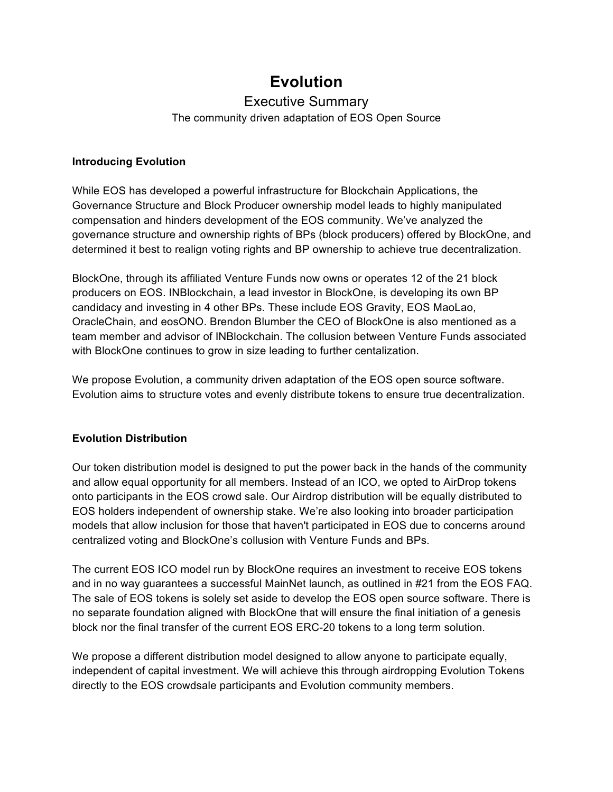# **Evolution**

# Executive Summary

The community driven adaptation of EOS Open Source

### **Introducing Evolution**

While EOS has developed a powerful infrastructure for Blockchain Applications, the Governance Structure and Block Producer ownership model leads to highly manipulated compensation and hinders development of the EOS community. We've analyzed the governance structure and ownership rights of BPs (block producers) offered by BlockOne, and determined it best to realign voting rights and BP ownership to achieve true decentralization.

BlockOne, through its affiliated Venture Funds now owns or operates 12 of the 21 block producers on EOS. INBlockchain, a lead investor in BlockOne, is developing its own BP candidacy and investing in 4 other BPs. These include EOS Gravity, EOS MaoLao, OracleChain, and eosONO. Brendon Blumber the CEO of BlockOne is also mentioned as a team member and advisor of INBlockchain. The collusion between Venture Funds associated with BlockOne continues to grow in size leading to further centalization.

We propose Evolution, a community driven adaptation of the EOS open source software. Evolution aims to structure votes and evenly distribute tokens to ensure true decentralization.

## **Evolution Distribution**

Our token distribution model is designed to put the power back in the hands of the community and allow equal opportunity for all members. Instead of an ICO, we opted to AirDrop tokens onto participants in the EOS crowd sale. Our Airdrop distribution will be equally distributed to EOS holders independent of ownership stake. We're also looking into broader participation models that allow inclusion for those that haven't participated in EOS due to concerns around centralized voting and BlockOne's collusion with Venture Funds and BPs.

The current EOS ICO model run by BlockOne requires an investment to receive EOS tokens and in no way guarantees a successful MainNet launch, as outlined in #21 from the EOS FAQ. The sale of EOS tokens is solely set aside to develop the EOS open source software. There is no separate foundation aligned with BlockOne that will ensure the final initiation of a genesis block nor the final transfer of the current EOS ERC-20 tokens to a long term solution.

We propose a different distribution model designed to allow anyone to participate equally, independent of capital investment. We will achieve this through airdropping Evolution Tokens directly to the EOS crowdsale participants and Evolution community members.